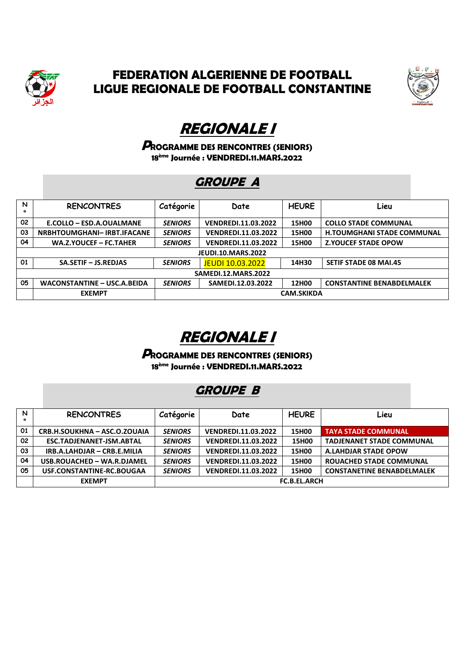

#### **FEDERATION ALGERIENNE DE FOOTBALL LIGUE REGIONALE DE FOOTBALL CONSTANTINE**



# **REGIONALE I**

**PROGRAMME DES RENCONTRES (SENIORS) 18ème Journée : VENDREDI.11.MARS.2022**

### **GROUPE A**

| N<br>$\bullet$             | <b>RENCONTRES</b>                  | Catégorie         | Date                       | <b>HEURE</b> | Lieu                              |  |  |
|----------------------------|------------------------------------|-------------------|----------------------------|--------------|-----------------------------------|--|--|
| 02                         | E.COLLO - ESD.A.OUALMANE           | <b>SENIORS</b>    | <b>VENDREDI.11.03.2022</b> | 15H00        | <b>COLLO STADE COMMUNAL</b>       |  |  |
| 03                         | <b>NRBHTOUMGHANI-IRBT.IFACANE</b>  | <b>SENIORS</b>    | <b>VENDREDI.11.03.2022</b> | 15H00        | <b>H.TOUMGHANI STADE COMMUNAL</b> |  |  |
| 04                         | <b>WA.Z.YOUCEF - FC.TAHER</b>      | <b>SENIORS</b>    | <b>VENDREDI.11.03.2022</b> | 15H00        | <b>Z.YOUCEF STADE OPOW</b>        |  |  |
|                            | <b>JEUDI.10.MARS.2022</b>          |                   |                            |              |                                   |  |  |
| 01                         | SA.SETIF - JS.REDJAS               | <b>SENIORS</b>    | <b>JEUDI 10.03.2022</b>    | 14H30        | <b>SETIF STADE 08 MAI.45</b>      |  |  |
| <b>SAMEDI.12.MARS.2022</b> |                                    |                   |                            |              |                                   |  |  |
| 05                         | <b>WACONSTANTINE - USC.A.BEIDA</b> | <b>SENIORS</b>    | SAMEDI.12.03.2022          | 12H00        | <b>CONSTANTINE BENABDELMALEK</b>  |  |  |
|                            | <b>EXEMPT</b>                      | <b>CAM.SKIKDA</b> |                            |              |                                   |  |  |



**PROGRAMME DES RENCONTRES (SENIORS) 18ème Journée : VENDREDI.11.MARS.2022**

## **GROUPE B**

| N<br>$\bullet$ | <b>RENCONTRES</b>            | Catégorie           | Date                       | <b>HEURE</b> | Lieu                              |
|----------------|------------------------------|---------------------|----------------------------|--------------|-----------------------------------|
| 01             | CRB.H.SOUKHNA - ASC.O.ZOUAIA | <b>SENIORS</b>      | <b>VENDREDI.11.03.2022</b> | 15H00        | <b>TAYA STADE COMMUNAL</b>        |
| 02             | ESC.TADJENANET-JSM.ABTAL     | <b>SENIORS</b>      | <b>VENDREDI.11.03.2022</b> | 15H00        | <b>TADJENANET STADE COMMUNAL</b>  |
| 03             | IRB.A.LAHDJAR - CRB.E.MILIA  | <b>SENIORS</b>      | <b>VENDREDI.11.03.2022</b> | 15H00        | <b>A.LAHDJAR STADE OPOW</b>       |
| 04             | USB.ROUACHED - WA.R.DJAMEL   | <b>SENIORS</b>      | <b>VENDREDI.11.03.2022</b> | 15H00        | <b>ROUACHED STADE COMMUNAL</b>    |
| 05             | USF.CONSTANTINE-RC.BOUGAA    | <b>SENIORS</b>      | <b>VENDREDI.11.03.2022</b> | 15H00        | <b>CONSTANETINE BENABDELMALEK</b> |
|                | <b>EXEMPT</b>                | <b>FC.B.EL.ARCH</b> |                            |              |                                   |